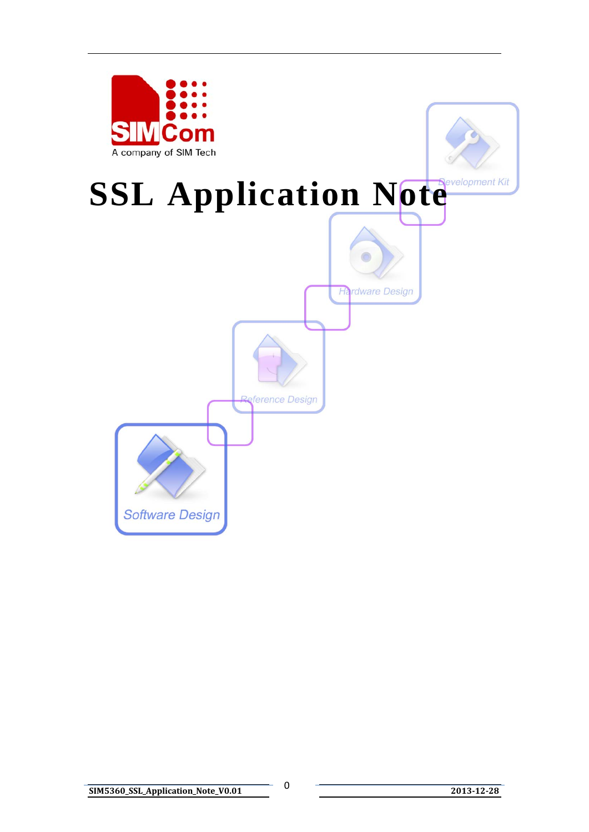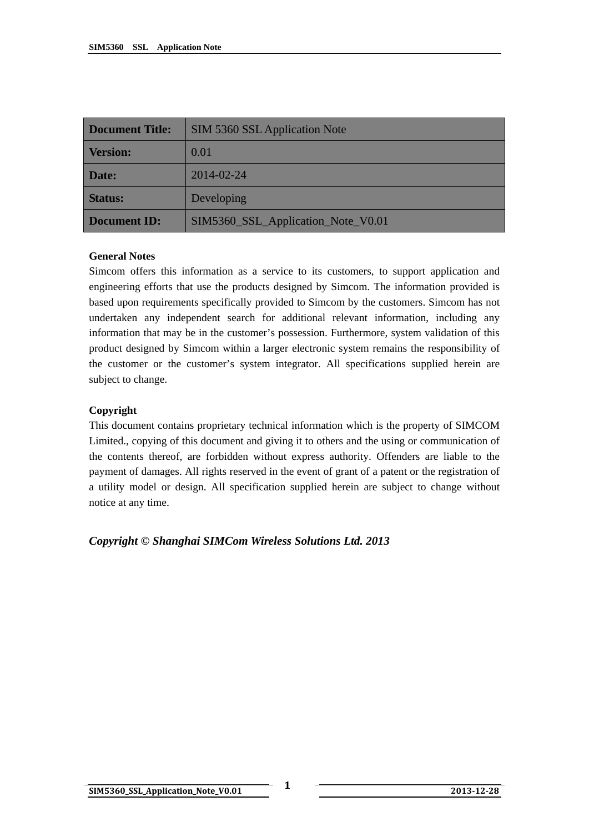| <b>Document Title:</b> | SIM 5360 SSL Application Note      |  |  |
|------------------------|------------------------------------|--|--|
| <b>Version:</b>        | 0.01                               |  |  |
| Date:                  | 2014-02-24                         |  |  |
| <b>Status:</b>         | Developing                         |  |  |
| <b>Document ID:</b>    | SIM5360_SSL_Application_Note_V0.01 |  |  |

#### **General Notes**

Simcom offers this information as a service to its customers, to support application and engineering efforts that use the products designed by Simcom. The information provided is based upon requirements specifically provided to Simcom by the customers. Simcom has not undertaken any independent search for additional relevant information, including any information that may be in the customer's possession. Furthermore, system validation of this product designed by Simcom within a larger electronic system remains the responsibility of the customer or the customer's system integrator. All specifications supplied herein are subject to change.

#### **Copyright**

This document contains proprietary technical information which is the property of SIMCOM Limited., copying of this document and giving it to others and the using or communication of the contents thereof, are forbidden without express authority. Offenders are liable to the payment of damages. All rights reserved in the event of grant of a patent or the registration of a utility model or design. All specification supplied herein are subject to change without notice at any time.

*Copyright © Shanghai SIMCom Wireless Solutions Ltd. 2013*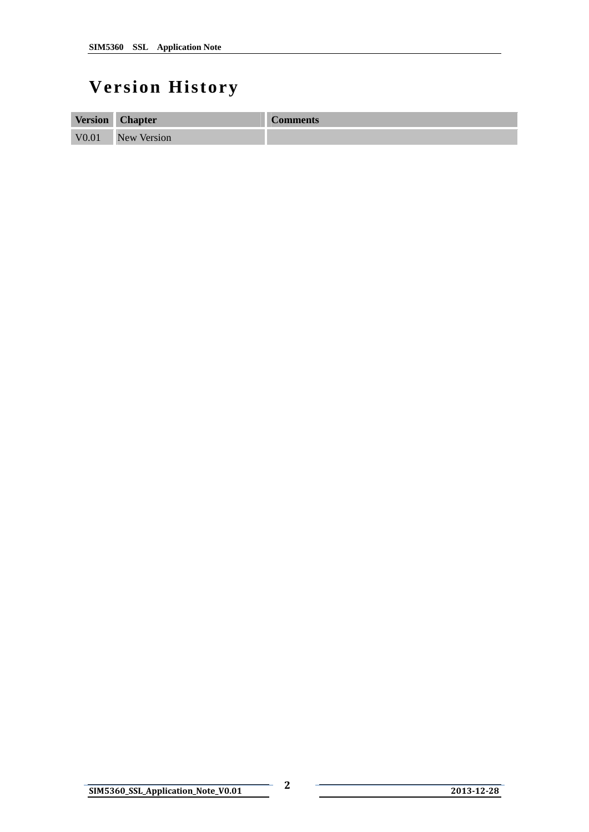## <span id="page-2-0"></span>**Version History**

| <b>Version</b>    | <b>Chapter</b>     | <b>Comments</b> |
|-------------------|--------------------|-----------------|
| V <sub>0.01</sub> | <b>New Version</b> |                 |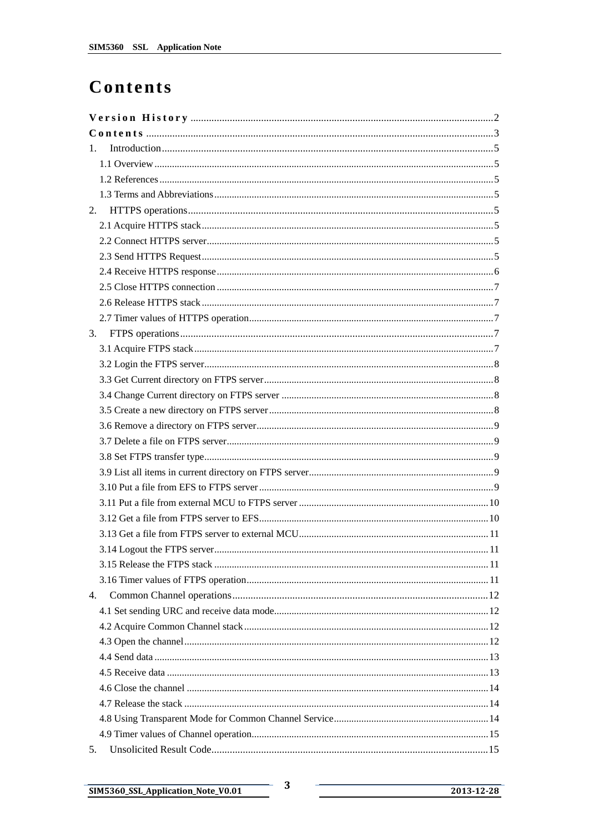## <span id="page-3-0"></span>Contents

| 1. |  |
|----|--|
|    |  |
|    |  |
|    |  |
|    |  |
|    |  |
|    |  |
|    |  |
|    |  |
|    |  |
|    |  |
|    |  |
| 3. |  |
|    |  |
|    |  |
|    |  |
|    |  |
|    |  |
|    |  |
|    |  |
|    |  |
|    |  |
|    |  |
|    |  |
|    |  |
|    |  |
|    |  |
|    |  |
|    |  |
| 4. |  |
|    |  |
|    |  |
|    |  |
|    |  |
|    |  |
|    |  |
|    |  |
|    |  |
|    |  |
| 5. |  |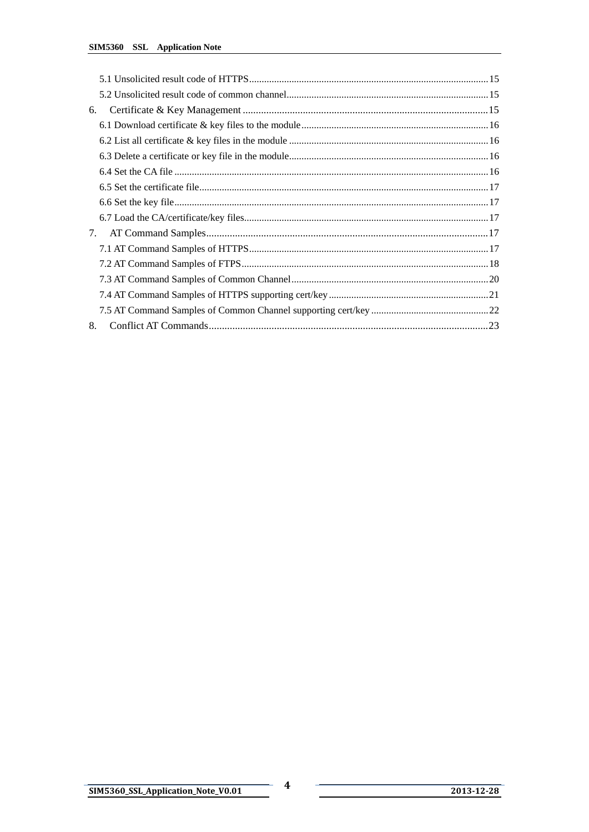| 6. |  |
|----|--|
|    |  |
|    |  |
|    |  |
|    |  |
|    |  |
|    |  |
|    |  |
| 7. |  |
|    |  |
|    |  |
|    |  |
|    |  |
|    |  |
| 8. |  |

2013-12-28

 $\boldsymbol{4}$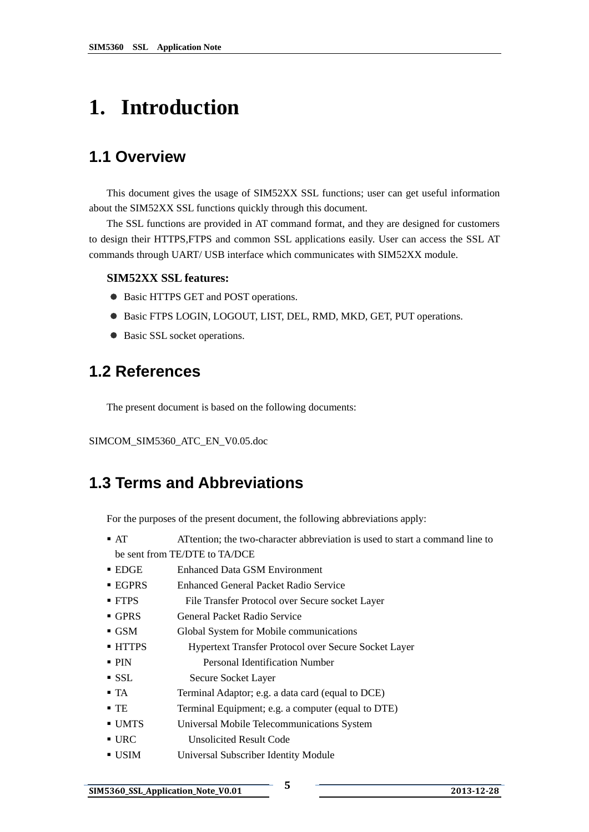# <span id="page-5-0"></span>**1. Introduction**

### **1.1 Overview**

This document gives the usage of SIM52XX SSL functions; user can get useful information about the SIM52XX SSL functions quickly through this document.

The SSL functions are provided in AT command format, and they are designed for customers to design their HTTPS,FTPS and common SSL applications easily. User can access the SSL AT commands through UART/ USB interface which communicates with SIM52XX module.

#### **SIM52XX SSL features:**

- Basic HTTPS GET and POST operations.
- $\bullet$  Basic FTPS LOGIN, LOGOUT, LIST, DEL, RMD, MKD, GET, PUT operations.
- Basic SSL socket operations.

#### **1.2 References**

The present document is based on the following documents:

SIMCOM\_SIM5360\_ATC\_EN\_V0.05.doc

### **1.3 Terms and Abbreviations**

For the purposes of the present document, the following abbreviations apply:

- AT ATtention; the two-character abbreviation is used to start a command line to be sent from TE/DTE to TA/DCE
- EDGE Enhanced Data GSM Environment
- EGPRS Enhanced General Packet Radio Service
- FTPS File Transfer Protocol over Secure socket Layer
- GPRS General Packet Radio Service
- GSM Global System for Mobile communications
- HTTPS Hypertext Transfer Protocol over Secure Socket Layer
- **PIN** Personal Identification Number
- SSL Secure Socket Layer
- TA Terminal Adaptor; e.g. a data card (equal to DCE)
- TE Terminal Equipment; e.g. a computer (equal to DTE)
- UMTS Universal Mobile Telecommunications System
- URC Unsolicited Result Code
- USIM Universal Subscriber Identity Module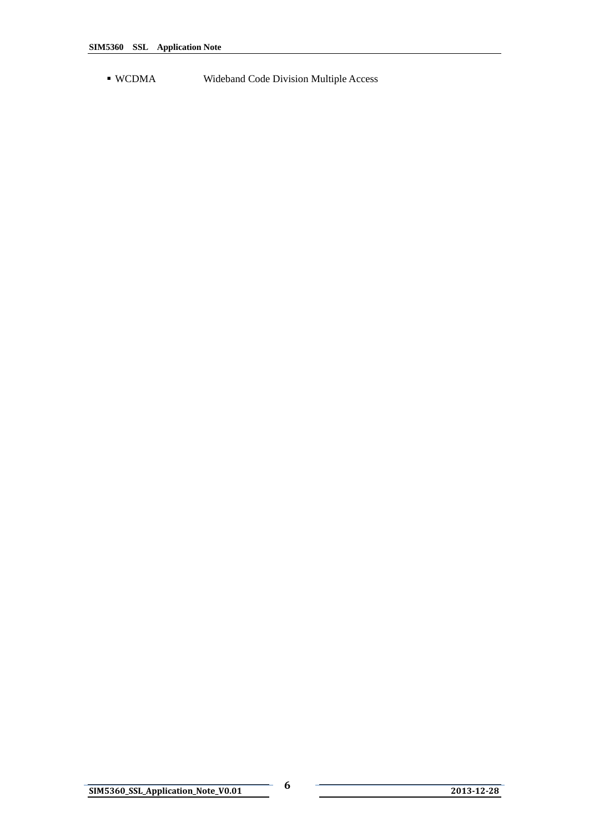WCDMA Wideband Code Division Multiple Access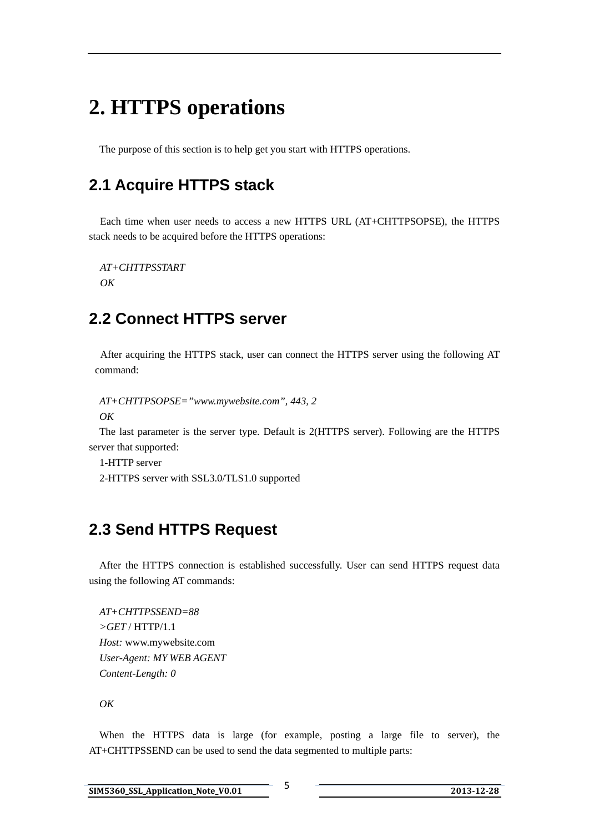## <span id="page-7-0"></span>**2. HTTPS operations**

The purpose of this section is to help get you start with HTTPS operations.

### **2.1 Acquire HTTPS stack**

Each time when user needs to access a new HTTPS URL (AT+CHTTPSOPSE), the HTTPS stack needs to be acquired before the HTTPS operations:

*AT+CHTTPSSTART OK*

### **2.2 Connect HTTPS server**

After acquiring the HTTPS stack, user can connect the HTTPS server using the following AT command:

```
 AT+CHTTPSOPSE="www.mywebsite.com", 443, 2
```
*OK* 

The last parameter is the server type. Default is 2(HTTPS server). Following are the HTTPS server that supported:

1-HTTP server

2-HTTPS server with SSL3.0/TLS1.0 supported

## **2.3 Send HTTPS Request**

 After the HTTPS connection is established successfully. User can send HTTPS request data using the following AT commands:

 *AT+CHTTPSSEND=88 >GET* [/ HTTP/1.1](http://www.mywebsite.com/index.html%20HTTP/1.1) *Host:* [www.mywebsite.com](http://www.mywebsite.com/) *User-Agent: MY WEB AGENT Content-Length: 0* 

*OK* 

 When the HTTPS data is large (for example, posting a large file to server), the AT+CHTTPSSEND can be used to send the data segmented to multiple parts: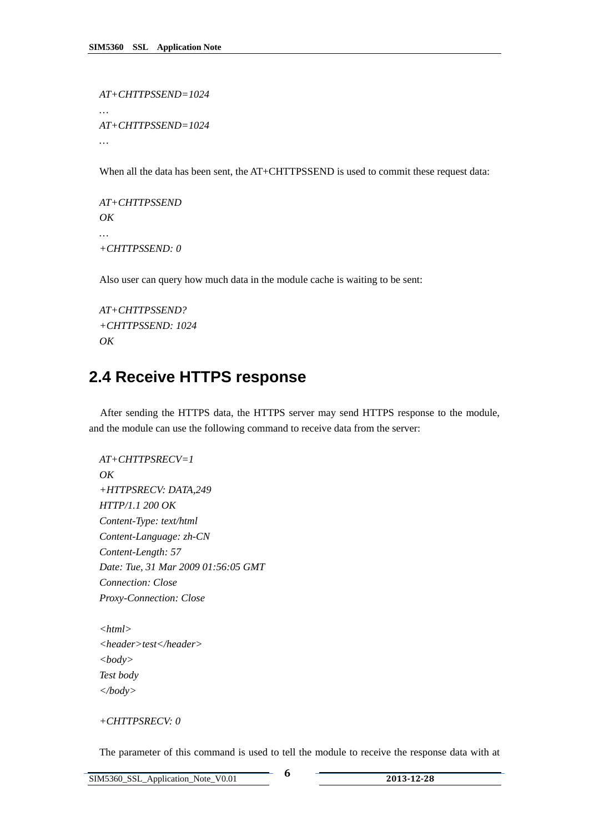<span id="page-8-0"></span> *AT+CHTTPSSEND=1024 … AT+CHTTPSSEND=1024* 

When all the data has been sent, the AT+CHTTPSSEND is used to commit these request data:

 *AT+CHTTPSSEND OK … +CHTTPSSEND: 0* 

Also user can query how much data in the module cache is waiting to be sent:

```
 AT+CHTTPSSEND? 
 +CHTTPSSEND: 1024 
 OK
```
### **2.4 Receive HTTPS response**

After sending the HTTPS data, the HTTPS server may send HTTPS response to the module, and the module can use the following command to receive data from the server:

```
 AT+CHTTPSRECV=1 
 OK 
 +HTTPSRECV: DATA,249 
 HTTP/1.1 200 OK 
Content-Type: text/html 
Content-Language: zh-CN 
Content-Length: 57 
Date: Tue, 31 Mar 2009 01:56:05 GMT 
Connection: Close 
Proxy-Connection: Close
```
*<html> <header>test</header> <body> Test body </body>* 

#### *+CHTTPSRECV: 0*

The parameter of this command is used to tell the module to receive the response data with at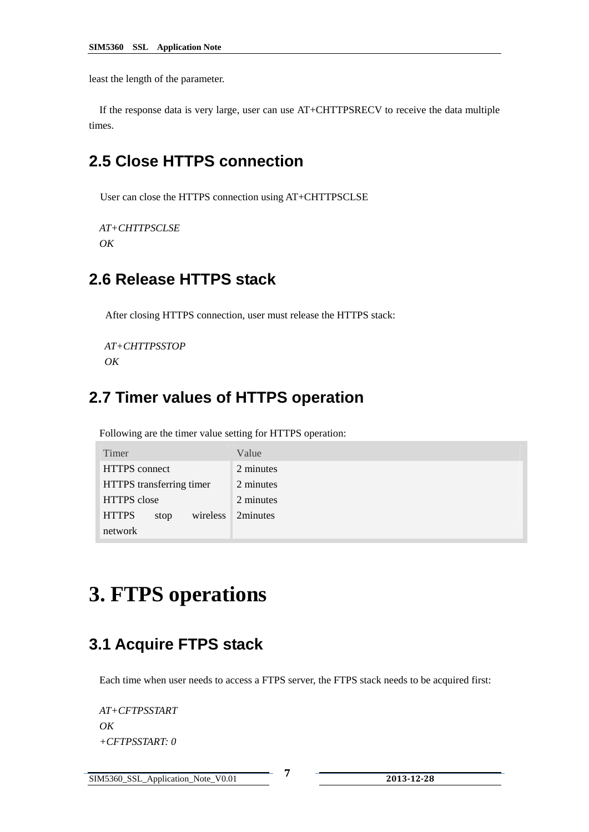<span id="page-9-0"></span>least the length of the parameter.

 If the response data is very large, user can use AT+CHTTPSRECV to receive the data multiple times.

## **2.5 Close HTTPS connection**

User can close the HTTPS connection using AT+CHTTPSCLSE

```
 AT+CHTTPSCLSE 
 OK
```
### **2.6 Release HTTPS stack**

After closing HTTPS connection, user must release the HTTPS stack:

```
 AT+CHTTPSSTOP 
 OK
```
### **2.7 Timer values of HTTPS operation**

Following are the timer value setting for HTTPS operation:

| Timer                            | Value     |
|----------------------------------|-----------|
| HTTPS connect                    | 2 minutes |
| HTTPS transferring timer         | 2 minutes |
| <b>HTTPS</b> close               | 2 minutes |
| <b>HTTPS</b><br>wireless<br>stop | 2minutes  |
| network                          |           |

## **3. FTPS operations**

#### **3.1 Acquire FTPS stack**

Each time when user needs to access a FTPS server, the FTPS stack needs to be acquired first:

*AT+CFTPSSTART OK +CFTPSSTART: 0*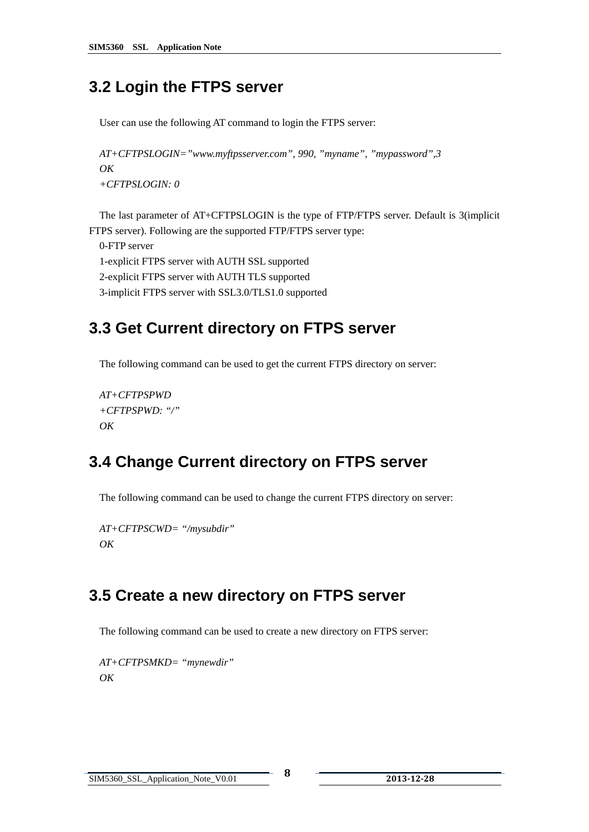## <span id="page-10-0"></span>**3.2 Login the FTPS server**

User can use the following AT command to login the FTPS server:

```
AT+CFTPSLOGIN="www.myftpsserver.com", 990, "myname", "mypassword",3 
OK 
+CFTPSLOGIN: 0
```
The last parameter of AT+CFTPSLOGIN is the type of FTP/FTPS server. Default is 3(implicit FTPS server). Following are the supported FTP/FTPS server type:

0-FTP server 1-explicit FTPS server with AUTH SSL supported 2-explicit FTPS server with AUTH TLS supported 3-implicit FTPS server with SSL3.0/TLS1.0 supported

## **3.3 Get Current directory on FTPS server**

The following command can be used to get the current FTPS directory on server:

```
AT+CFTPSPWD 
+CFTPSPWD: "/" 
OK
```
## **3.4 Change Current directory on FTPS server**

The following command can be used to change the current FTPS directory on server:

```
AT+CFTPSCWD= "/mysubdir" 
OK
```
## **3.5 Create a new directory on FTPS server**

The following command can be used to create a new directory on FTPS server:

```
AT+CFTPSMKD= "mynewdir" 
\overline{OK}
```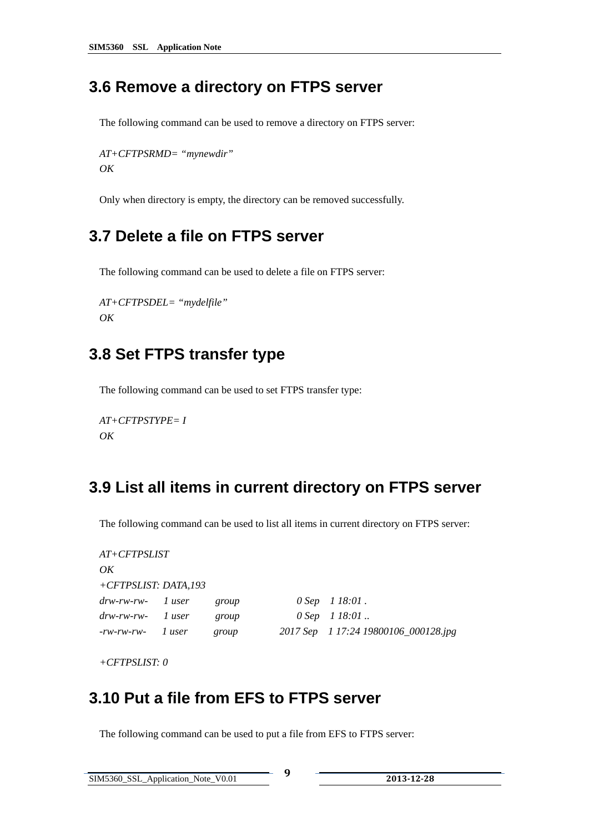#### <span id="page-11-0"></span>**3.6 Remove a directory on FTPS server**

The following command can be used to remove a directory on FTPS server:

```
AT+CFTPSRMD= "mynewdir" 
OK
```
Only when directory is empty, the directory can be removed successfully.

### **3.7 Delete a file on FTPS server**

The following command can be used to delete a file on FTPS server:

```
AT+CFTPSDEL= "mydelfile" 
OK
```
### **3.8 Set FTPS transfer type**

The following command can be used to set FTPS transfer type:

```
AT+CFTPSTYPE= I 
OK
```
### **3.9 List all items in current directory on FTPS server**

The following command can be used to list all items in current directory on FTPS server:

| $AT+CFTPSLIST$          |  |       |  |                                      |
|-------------------------|--|-------|--|--------------------------------------|
| OK                      |  |       |  |                                      |
| +CFTPSLIST: DATA,193    |  |       |  |                                      |
| $\frac{drw-rw-rw-1}{r}$ |  | group |  | $0$ Sep $1$ 18:01.                   |
| $\frac{drw-rw-rw-1}{r}$ |  | group |  | $0$ Sep $1$ 18:01.                   |
| $-rw$ -rw-rw- 1 user    |  | group |  | 2017 Sep 1 17:24 19800106_000128.jpg |

*+CFTPSLIST: 0* 

### **3.10 Put a file from EFS to FTPS server**

The following command can be used to put a file from EFS to FTPS server: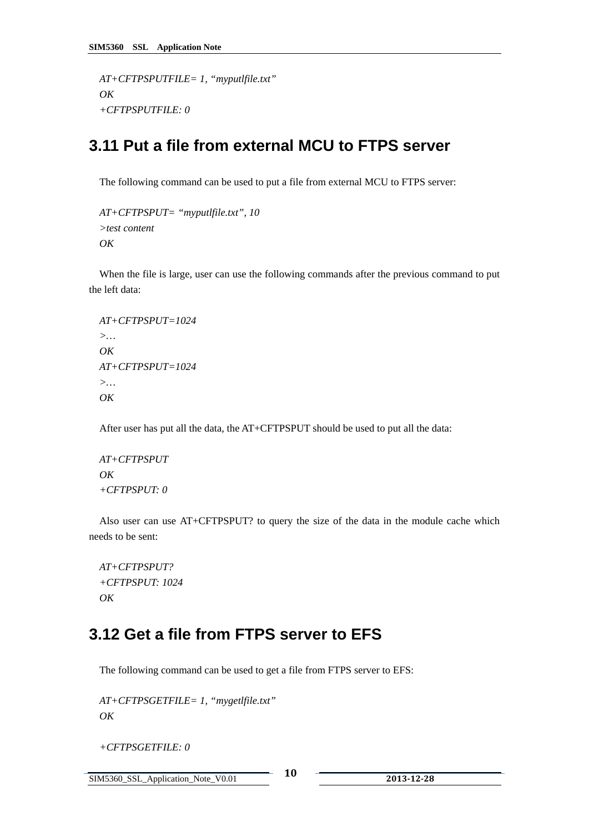```
AT+CFTPSPUTFILE= 1, "myputlfile.txt" 
OK 
+CFTPSPUTFILE: 0
```
### **3.11 Put a file from external MCU to FTPS server**

The following command can be used to put a file from external MCU to FTPS server:

```
AT+CFTPSPUT= "myputlfile.txt", 10 
>test content 
OK
```
When the file is large, user can use the following commands after the previous command to put the left data:

```
AT+CFTPSPUT=1024 
>… 
OK 
AT+CFTPSPUT=1024 
>… 
\overline{OK}
```
After user has put all the data, the AT+CFTPSPUT should be used to put all the data:

```
AT+CFTPSPUT 
OK 
+CFTPSPUT: 0
```
Also user can use AT+CFTPSPUT? to query the size of the data in the module cache which needs to be sent:

```
AT+CFTPSPUT? 
+CFTPSPUT: 1024 
OK
```
### **3.12 Get a file from FTPS server to EFS**

The following command can be used to get a file from FTPS server to EFS:

```
AT+CFTPSGETFILE= 1, "mygetlfile.txt" 
OK
```
 *+CFTPSGETFILE: 0* 

SIM5360\_SSL\_Application\_Note\_V0.01 **10 <sup>2013</sup>12<sup>28</sup>**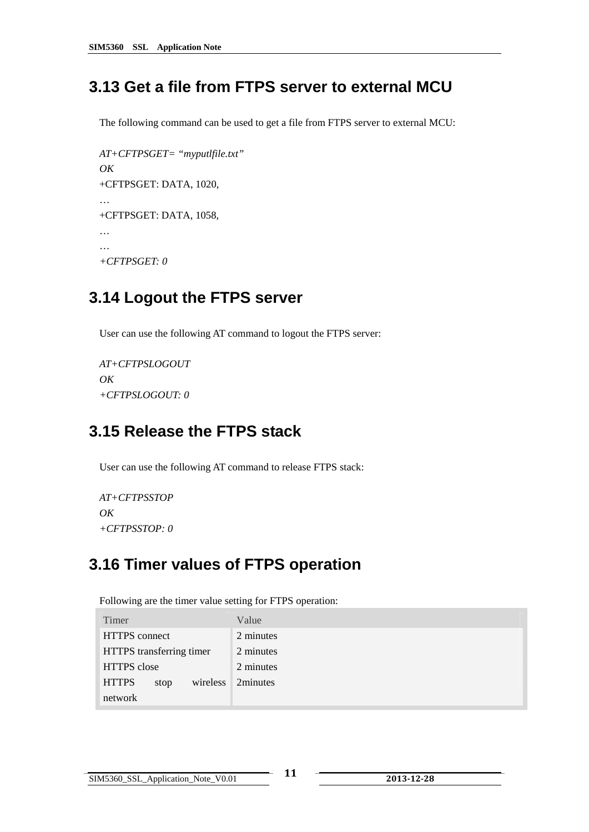## <span id="page-13-0"></span>**3.13 Get a file from FTPS server to external MCU**

The following command can be used to get a file from FTPS server to external MCU:

```
AT+CFTPSGET= "myputlfile.txt" 
OK 
 +CFTPSGET: DATA, 1020, 
… 
+CFTPSGET: DATA, 1058, 
… 
… 
+CFTPSGET: 0
```
## **3.14 Logout the FTPS server**

User can use the following AT command to logout the FTPS server:

```
AT+CFTPSLOGOUT 
OK 
+CFTPSLOGOUT: 0
```
## **3.15 Release the FTPS stack**

User can use the following AT command to release FTPS stack:

```
AT+CFTPSSTOP 
OK 
+CFTPSSTOP: 0
```
## **3.16 Timer values of FTPS operation**

Following are the timer value setting for FTPS operation:

| Timer                            | Value     |
|----------------------------------|-----------|
| <b>HTTPS</b> connect             | 2 minutes |
| HTTPS transferring timer         | 2 minutes |
| <b>HTTPS</b> close               | 2 minutes |
| <b>HTTPS</b><br>wireless<br>stop | 2minutes  |
| network                          |           |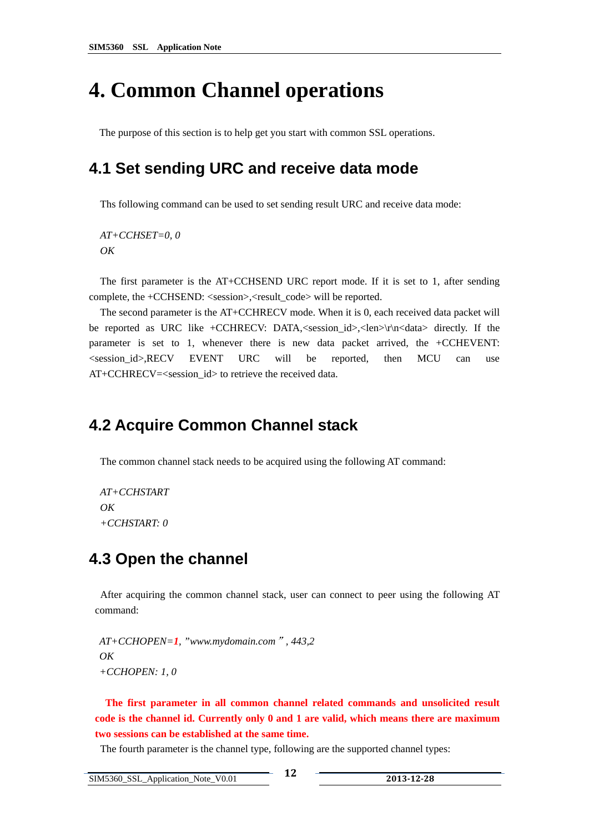## <span id="page-14-0"></span>**4. Common Channel operations**

The purpose of this section is to help get you start with common SSL operations.

### **4.1 Set sending URC and receive data mode**

Ths following command can be used to set sending result URC and receive data mode:

*AT+CCHSET=0, 0 OK* 

The first parameter is the AT+CCHSEND URC report mode. If it is set to 1, after sending complete, the +CCHSEND: <session>,<result\_code> will be reported.

The second parameter is the AT+CCHRECV mode. When it is 0, each received data packet will be reported as URC like +CCHRECV: DATA,<session\_id>,<len>\r\n<data> directly. If the parameter is set to 1, whenever there is new data packet arrived, the +CCHEVENT: <session\_id>,RECV EVENT URC will be reported, then MCU can use AT+CCHRECV=<session\_id> to retrieve the received data.

#### **4.2 Acquire Common Channel stack**

The common channel stack needs to be acquired using the following AT command:

*AT+CCHSTART OK +CCHSTART: 0* 

#### **4.3 Open the channel**

After acquiring the common channel stack, user can connect to peer using the following AT command:

 *AT+CCHOPEN=1, "www.mydomain.com*"*, 443,2 OK +CCHOPEN: 1, 0* 

**The first parameter in all common channel related commands and unsolicited result code is the channel id. Currently only 0 and 1 are valid, which means there are maximum two sessions can be established at the same time.** 

The fourth parameter is the channel type, following are the supported channel types: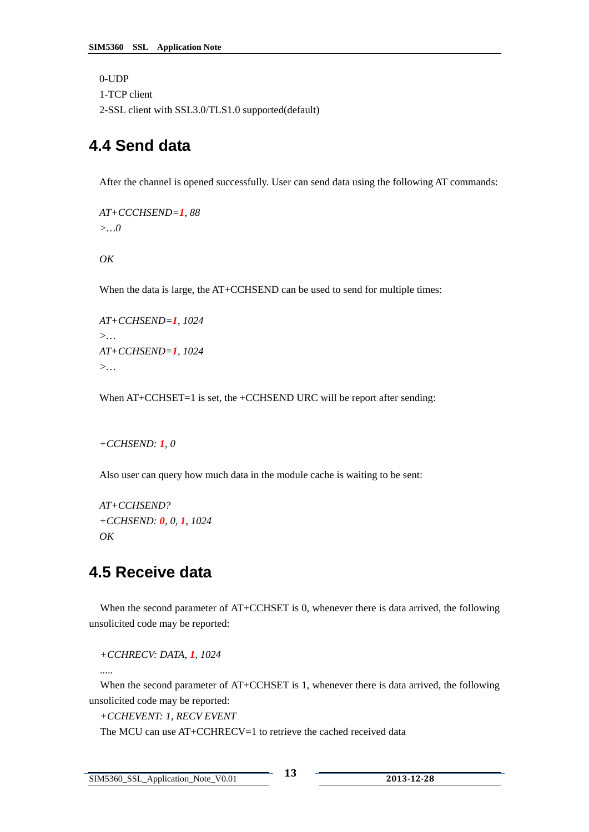```
0-UDP 
1-TCP client 
2-SSL client with SSL3.0/TLS1.0 supported(default)
```
### **4.4 Send data**

After the channel is opened successfully. User can send data using the following AT commands:

```
 AT+CCCHSEND=1, 88 
 >…0
```
 $\overline{OK}$ 

When the data is large, the AT+CCHSEND can be used to send for multiple times:

 *AT+CCHSEND=1, 1024 >… AT+CCHSEND=1, 1024 >…* 

When  $AT+CCHSET=1$  is set, the  $+CCHSEND URC$  will be report after sending:

```
 +CCHSEND: 1, 0
```
Also user can query how much data in the module cache is waiting to be sent:

 *AT+CCHSEND? +CCHSEND: 0, 0, 1, 1024 OK* 

### **4.5 Receive data**

When the second parameter of AT+CCHSET is 0, whenever there is data arrived, the following unsolicited code may be reported:

*+CCHRECV: DATA, 1, 1024*

*.....*

When the second parameter of AT+CCHSET is 1, whenever there is data arrived, the following unsolicited code may be reported:

*+CCHEVENT: 1, RECV EVENT* 

The MCU can use AT+CCHRECV=1 to retrieve the cached received data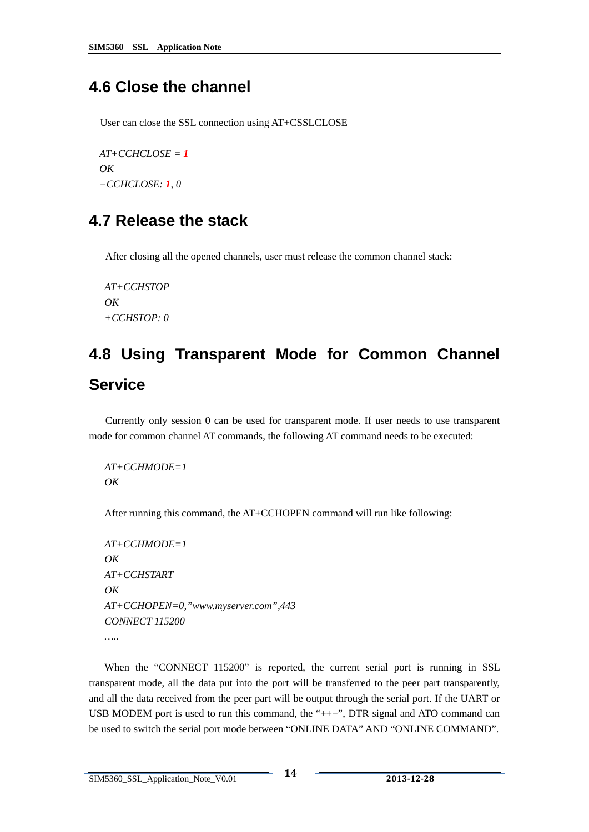#### <span id="page-16-0"></span>**4.6 Close the channel**

User can close the SSL connection using AT+CSSLCLOSE

 $AT+CCHCLOSE = 1$  *OK +CCHCLOSE: 1, 0* 

#### **4.7 Release the stack**

After closing all the opened channels, user must release the common channel stack:

 *AT+CCHSTOP OK +CCHSTOP: 0*

# **4.8 Using Transparent Mode for Common Channel Service**

 Currently only session 0 can be used for transparent mode. If user needs to use transparent mode for common channel AT commands, the following AT command needs to be executed:

 *AT+CCHMODE=1 OK*

After running this command, the AT+CCHOPEN command will run like following:

```
AT+CCHMODE=1 
 OK 
AT+CCHSTART 
OK 
AT+CCHOPEN=0,"www.myserver.com",443 
CONNECT 115200 
…..
```
When the "CONNECT 115200" is reported, the current serial port is running in SSL transparent mode, all the data put into the port will be transferred to the peer part transparently, and all the data received from the peer part will be output through the serial port. If the UART or USB MODEM port is used to run this command, the "+++", DTR signal and ATO command can be used to switch the serial port mode between "ONLINE DATA" AND "ONLINE COMMAND".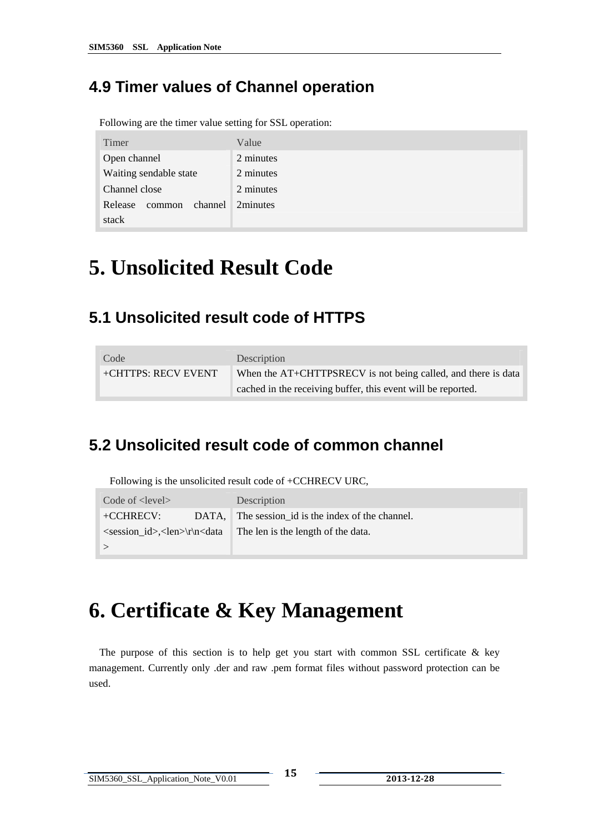## <span id="page-17-0"></span>**4.9 Timer values of Channel operation**

Following are the timer value setting for SSL operation:

| Timer                        | Value     |
|------------------------------|-----------|
| Open channel                 | 2 minutes |
| Waiting sendable state       | 2 minutes |
| Channel close                | 2 minutes |
| channel<br>Release<br>common | 2minutes  |
| stack                        |           |

# **5. Unsolicited Result Code**

### **5.1 Unsolicited result code of HTTPS**

| Code                 | Description                                                   |
|----------------------|---------------------------------------------------------------|
| +CHTTPS: RECV EVENT_ | When the AT+CHTTPSRECV is not being called, and there is data |
|                      | cached in the receiving buffer, this event will be reported.  |

## **5.2 Unsolicited result code of common channel**

Following is the unsolicited result code of +CCHRECV URC,

| Code of <level></level>                                                                                              |  | Description                                       |  |
|----------------------------------------------------------------------------------------------------------------------|--|---------------------------------------------------|--|
| $+$ CCHRECV:                                                                                                         |  | DATA, The session id is the index of the channel. |  |
| $\epsilon$ <session id="">,<len>\r\n<data< td=""><td>The len is the length of the data.</td></data<></len></session> |  | The len is the length of the data.                |  |
|                                                                                                                      |  |                                                   |  |

# **6. Certificate & Key Management**

The purpose of this section is to help get you start with common SSL certificate  $\&$  key management. Currently only .der and raw .pem format files without password protection can be used.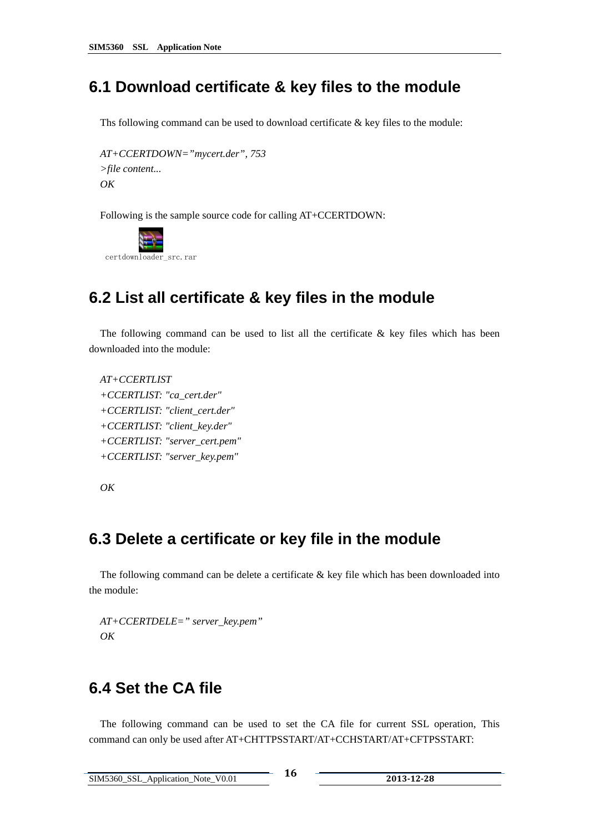#### <span id="page-18-0"></span>**6.1 Download certificate & key files to the module**

Ths following command can be used to download certificate & key files to the module:

*AT+CCERTDOWN="mycert.der", 753 >file content... OK* 

Following is the sample source code for calling AT+CCERTDOWN:



#### **6.2 List all certificate & key files in the module**

The following command can be used to list all the certificate  $\&$  key files which has been downloaded into the module:

*AT+CCERTLIST +CCERTLIST: "ca\_cert.der" +CCERTLIST: "client\_cert.der" +CCERTLIST: "client\_key.der" +CCERTLIST: "server\_cert.pem" +CCERTLIST: "server\_key.pem"* 

*OK* 

#### **6.3 Delete a certificate or key file in the module**

The following command can be delete a certificate  $\&$  key file which has been downloaded into the module:

*AT+CCERTDELE=" server\_key.pem" OK* 

### **6.4 Set the CA file**

The following command can be used to set the CA file for current SSL operation, This command can only be used after AT+CHTTPSSTART/AT+CCHSTART/AT+CFTPSSTART: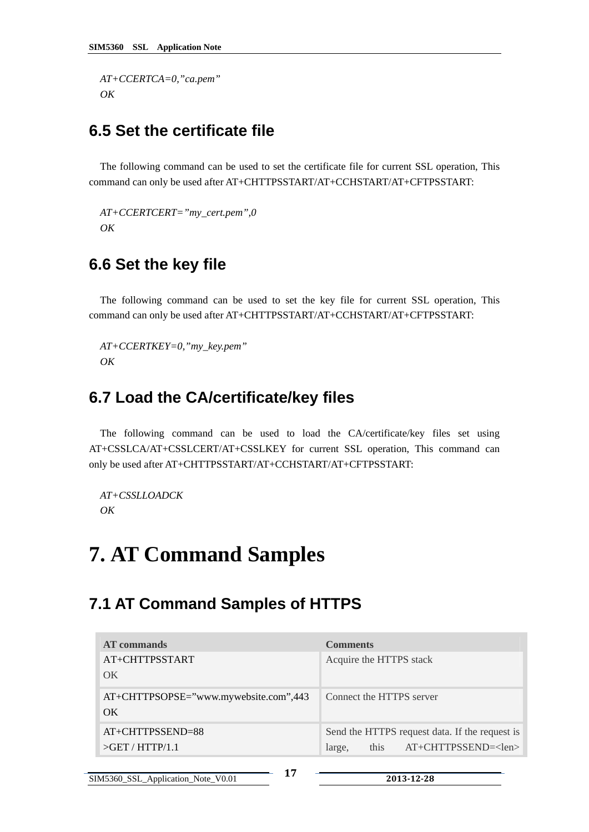<span id="page-19-0"></span>*AT+CCERTCA=0,"ca.pem" OK* 

### **6.5 Set the certificate file**

The following command can be used to set the certificate file for current SSL operation, This command can only be used after AT+CHTTPSSTART/AT+CCHSTART/AT+CFTPSSTART:

*AT+CCERTCERT="my\_cert.pem",0 OK* 

#### **6.6 Set the key file**

The following command can be used to set the key file for current SSL operation, This command can only be used after AT+CHTTPSSTART/AT+CCHSTART/AT+CFTPSSTART:

*AT+CCERTKEY=0,"my\_key.pem" OK* 

#### **6.7 Load the CA/certificate/key files**

The following command can be used to load the CA/certificate/key files set using AT+CSSLCA/AT+CSSLCERT/AT+CSSLKEY for current SSL operation, This command can only be used after AT+CHTTPSSTART/AT+CCHSTART/AT+CFTPSSTART:

*AT+CSSLLOADCK OK* 

## **7. AT Command Samples**

#### **7.1 AT Command Samples of HTTPS**

| AT commands                           | <b>Comments</b>                                |
|---------------------------------------|------------------------------------------------|
| AT+CHTTPSSTART                        | Acquire the HTTPS stack                        |
| OK                                    |                                                |
| AT+CHTTPSOPSE="www.mywebsite.com",443 | Connect the HTTPS server                       |
| OK                                    |                                                |
| $AT+CHTTPSSEND=88$                    | Send the HTTPS request data. If the request is |
|                                       | this $AT+CHTTPSSEND=<1en>$<br>large,           |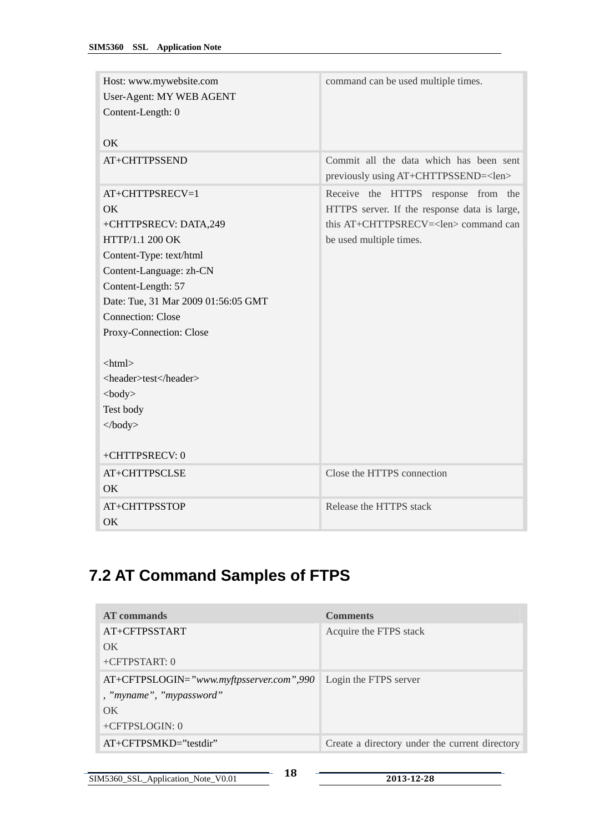<span id="page-20-0"></span>

| Host: www.mywebsite.com<br>User-Agent: MY WEB AGENT<br>Content-Length: 0 | command can be used multiple times.                                                    |
|--------------------------------------------------------------------------|----------------------------------------------------------------------------------------|
| OK                                                                       |                                                                                        |
| AT+CHTTPSSEND                                                            | Commit all the data which has been sent<br>previously using AT+CHTTPSSEND= <len></len> |
| AT+CHTTPSRECV=1                                                          | Receive the HTTPS response from the                                                    |
| OK                                                                       | HTTPS server. If the response data is large,                                           |
| +CHTTPSRECV: DATA,249                                                    | this AT+CHTTPSRECV= <len> command can</len>                                            |
| HTTP/1.1 200 OK                                                          | be used multiple times.                                                                |
| Content-Type: text/html                                                  |                                                                                        |
| Content-Language: zh-CN                                                  |                                                                                        |
| Content-Length: 57                                                       |                                                                                        |
| Date: Tue, 31 Mar 2009 01:56:05 GMT                                      |                                                                                        |
| <b>Connection: Close</b>                                                 |                                                                                        |
| Proxy-Connection: Close                                                  |                                                                                        |
|                                                                          |                                                                                        |
| $\langle$ html $>$                                                       |                                                                                        |
| <header>test</header>                                                    |                                                                                        |
| $<$ body $>$                                                             |                                                                                        |
| Test body                                                                |                                                                                        |
| </td <td></td>                                                           |                                                                                        |
| +CHTTPSRECV: 0                                                           |                                                                                        |
| AT+CHTTPSCLSE                                                            | Close the HTTPS connection                                                             |
| OK                                                                       |                                                                                        |
| AT+CHTTPSSTOP                                                            | Release the HTTPS stack                                                                |
| OK                                                                       |                                                                                        |

## **7.2 AT Command Samples of FTPS**

| AT commands                                | <b>Comments</b>                                |
|--------------------------------------------|------------------------------------------------|
| AT+CFTPSSTART                              | Acquire the FTPS stack                         |
| OK                                         |                                                |
| $+CFTPSTART: 0$                            |                                                |
| $AT+CFTPSLOGIN="www.myftpsserver.com",990$ | Login the FTPS server                          |
| , "myname", "mypassword"                   |                                                |
| $\alpha$                                   |                                                |
| $+CFTPSLOGIN: 0$                           |                                                |
| $AT+CFTPSMKD='testdir'$                    | Create a directory under the current directory |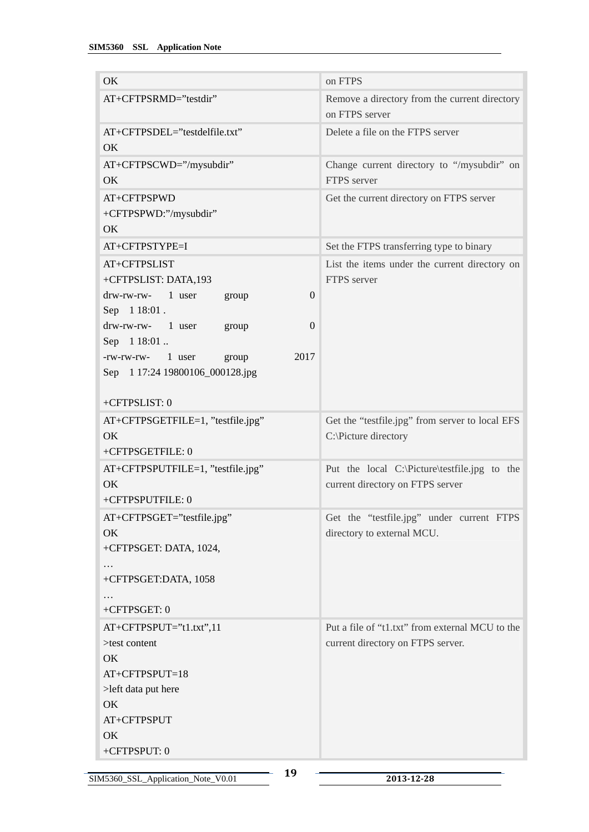| OK                                                                 | on FTPS                                         |
|--------------------------------------------------------------------|-------------------------------------------------|
| AT+CFTPSRMD="testdir"                                              | Remove a directory from the current directory   |
|                                                                    | on FTPS server                                  |
| AT+CFTPSDEL="testdelfile.txt"                                      | Delete a file on the FTPS server                |
| OK                                                                 |                                                 |
| AT+CFTPSCWD="/mysubdir"                                            | Change current directory to "/mysubdir" on      |
| OK                                                                 | FTPS server                                     |
| AT+CFTPSPWD                                                        | Get the current directory on FTPS server        |
| +CFTPSPWD:"/mysubdir"                                              |                                                 |
| OK                                                                 |                                                 |
| AT+CFTPSTYPE=I                                                     | Set the FTPS transferring type to binary        |
| AT+CFTPSLIST                                                       | List the items under the current directory on   |
| +CFTPSLIST: DATA,193                                               | FTPS server                                     |
| $drw$ -rw-rw- 1 user<br>$\theta$<br>group                          |                                                 |
| Sep 1 18:01.                                                       |                                                 |
| $drw$ -rw-rw- $1$ user<br>$\boldsymbol{0}$<br>group<br>Sep 1 18:01 |                                                 |
| 2017<br>1 user<br>-rw-rw-rw-<br>group                              |                                                 |
| Sep 1 17:24 19800106_000128.jpg                                    |                                                 |
|                                                                    |                                                 |
| +CFTPSLIST: 0                                                      |                                                 |
| AT+CFTPSGETFILE=1, "testfile.jpg"                                  | Get the "testfile.jpg" from server to local EFS |
| OK                                                                 | C:\Picture directory                            |
| +CFTPSGETFILE: 0                                                   |                                                 |
| AT+CFTPSPUTFILE=1, "testfile.jpg"                                  | Put the local C:\Picture\testfile.jpg to the    |
| OK                                                                 | current directory on FTPS server                |
| +CFTPSPUTFILE: 0                                                   |                                                 |
| AT+CFTPSGET="testfile.jpg"                                         | Get the "testfile.jpg" under current FTPS       |
| OK                                                                 | directory to external MCU.                      |
| +CFTPSGET: DATA, 1024,                                             |                                                 |
| +CFTPSGET:DATA, 1058                                               |                                                 |
|                                                                    |                                                 |
| +CFTPSGET: 0                                                       |                                                 |
| AT+CFTPSPUT="t1.txt",11                                            | Put a file of "t1.txt" from external MCU to the |
| >test content                                                      | current directory on FTPS server.               |
| OK                                                                 |                                                 |
| AT+CFTPSPUT=18                                                     |                                                 |
| >left data put here                                                |                                                 |
| OK                                                                 |                                                 |
| AT+CFTPSPUT                                                        |                                                 |
| OK                                                                 |                                                 |
| +CFTPSPUT: 0                                                       |                                                 |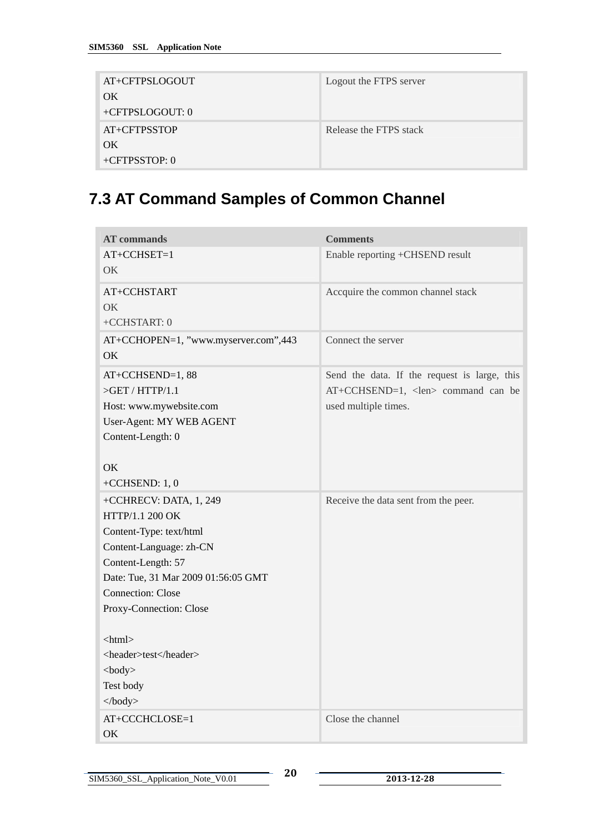<span id="page-22-0"></span>

| AT+CFTPSLOGOUT    | Logout the FTPS server |
|-------------------|------------------------|
| OK                |                        |
| $+CFTPSLOGOUT: 0$ |                        |
| AT+CFTPSSTOP      | Release the FTPS stack |
| OK                |                        |
| $+CFTPSSTOP: 0$   |                        |

## **7.3 AT Command Samples of Common Channel**

| <b>AT</b> commands                   | <b>Comments</b>                              |
|--------------------------------------|----------------------------------------------|
| AT+CCHSET=1                          | Enable reporting +CHSEND result              |
| OK.                                  |                                              |
| AT+CCHSTART                          | Accquire the common channel stack            |
| OK                                   |                                              |
| +CCHSTART: 0                         |                                              |
| AT+CCHOPEN=1, "www.myserver.com",443 | Connect the server                           |
| OK                                   |                                              |
| AT+CCHSEND=1,88                      | Send the data. If the request is large, this |
| $>$ GET / HTTP/1.1                   | AT+CCHSEND=1, <len> command can be</len>     |
| Host: www.mywebsite.com              | used multiple times.                         |
| User-Agent: MY WEB AGENT             |                                              |
| Content-Length: 0                    |                                              |
|                                      |                                              |
| OK                                   |                                              |
| +CCHSEND: $1, 0$                     |                                              |
| +CCHRECV: DATA, 1, 249               | Receive the data sent from the peer.         |
| HTTP/1.1 200 OK                      |                                              |
| Content-Type: text/html              |                                              |
| Content-Language: zh-CN              |                                              |
| Content-Length: 57                   |                                              |
| Date: Tue, 31 Mar 2009 01:56:05 GMT  |                                              |
| <b>Connection: Close</b>             |                                              |
| Proxy-Connection: Close              |                                              |
|                                      |                                              |
| $\langle$ html $>$                   |                                              |
| <header>test</header>                |                                              |
| $<$ body $>$                         |                                              |
| Test body                            |                                              |
| </td <td></td>                       |                                              |
| AT+CCCHCLOSE=1                       | Close the channel                            |
| OK                                   |                                              |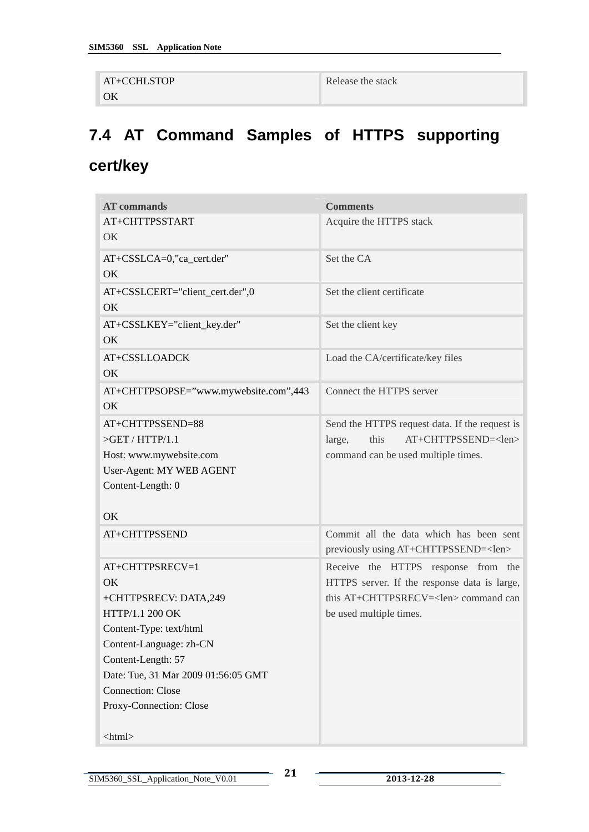```
AT+CCHLSTOP 
OK
```
Release the stack

# **7.4 AT Command Samples of HTTPS supporting cert/key**

| <b>AT</b> commands                    | <b>Comments</b>                                |
|---------------------------------------|------------------------------------------------|
| AT+CHTTPSSTART                        | Acquire the HTTPS stack                        |
| OK                                    |                                                |
| AT+CSSLCA=0,"ca_cert.der"             | Set the CA                                     |
| OK                                    |                                                |
| AT+CSSLCERT="client_cert.der",0       | Set the client certificate                     |
| OK                                    |                                                |
| AT+CSSLKEY="client_key.der"           | Set the client key                             |
| OK                                    |                                                |
| AT+CSSLLOADCK                         | Load the CA/certificate/key files              |
| <b>OK</b>                             |                                                |
| AT+CHTTPSOPSE="www.mywebsite.com",443 | Connect the HTTPS server                       |
| OK                                    |                                                |
| AT+CHTTPSSEND=88                      | Send the HTTPS request data. If the request is |
| $>$ GET / HTTP/1.1                    | AT+CHTTPSSEND= <len><br/>this<br/>large,</len> |
| Host: www.mywebsite.com               | command can be used multiple times.            |
| User-Agent: MY WEB AGENT              |                                                |
| Content-Length: 0                     |                                                |
|                                       |                                                |
| OK.                                   |                                                |
| AT+CHTTPSSEND                         | Commit all the data which has been sent        |
|                                       | previously using AT+CHTTPSSEND= <len></len>    |
| AT+CHTTPSRECV=1                       | Receive the HTTPS response from the            |
| <b>OK</b>                             | HTTPS server. If the response data is large,   |
| +CHTTPSRECV: DATA,249                 | this AT+CHTTPSRECV= <len> command can</len>    |
| HTTP/1.1 200 OK                       | be used multiple times.                        |
| Content-Type: text/html               |                                                |
| Content-Language: zh-CN               |                                                |
| Content-Length: 57                    |                                                |
| Date: Tue, 31 Mar 2009 01:56:05 GMT   |                                                |
| <b>Connection: Close</b>              |                                                |
| Proxy-Connection: Close               |                                                |
|                                       |                                                |
| $\langle$ html $>$                    |                                                |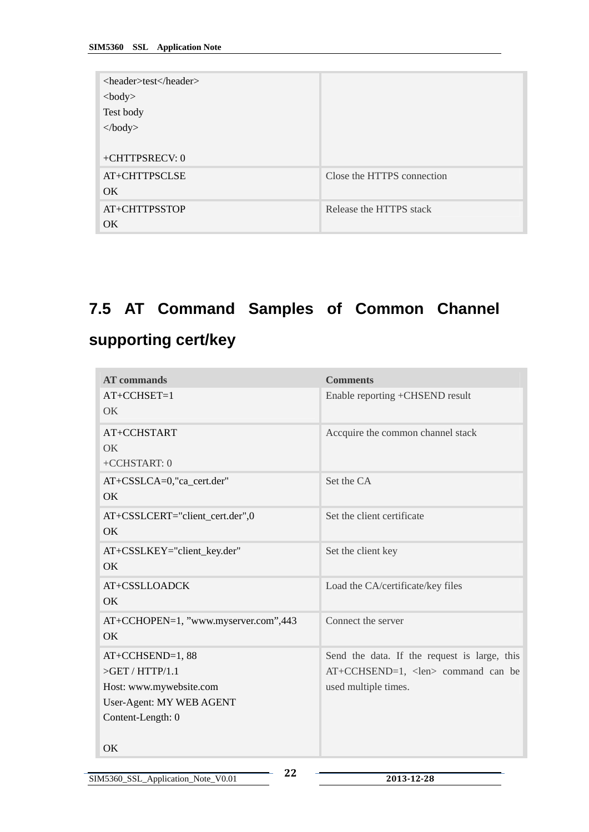<span id="page-24-0"></span>

| <header>test</header><br>$<$ body $>$<br>Test body<br>$\langle \text{body} \rangle$ |                            |
|-------------------------------------------------------------------------------------|----------------------------|
| +CHTTPSRECV: 0<br>AT+CHTTPSCLSE<br>OK.                                              | Close the HTTPS connection |
| AT+CHTTPSSTOP<br>OK                                                                 | Release the HTTPS stack    |

## **7.5 AT Command Samples of Common Channel**

## **supporting cert/key**

| <b>AT</b> commands                                                                                                | <b>Comments</b>                                                                                                      |
|-------------------------------------------------------------------------------------------------------------------|----------------------------------------------------------------------------------------------------------------------|
| $AT+CCHSET=1$<br>OK.                                                                                              | Enable reporting +CHSEND result                                                                                      |
| AT+CCHSTART<br>OK.<br>+CCHSTART: 0                                                                                | Accquire the common channel stack                                                                                    |
| AT+CSSLCA=0,"ca_cert.der"<br>OK                                                                                   | Set the CA                                                                                                           |
| AT+CSSLCERT="client_cert.der",0<br>OK                                                                             | Set the client certificate                                                                                           |
| AT+CSSLKEY="client_key.der"<br>OK.                                                                                | Set the client key                                                                                                   |
| AT+CSSLLOADCK<br>OK                                                                                               | Load the CA/certificate/key files                                                                                    |
| AT+CCHOPEN=1, "www.myserver.com",443<br>OK                                                                        | Connect the server                                                                                                   |
| AT+CCHSEND=1,88<br>$>$ GET / HTTP/1.1<br>Host: www.mywebsite.com<br>User-Agent: MY WEB AGENT<br>Content-Length: 0 | Send the data. If the request is large, this<br>$AT+CCHSEND=1$ , <len> command can be<br/>used multiple times.</len> |
| OK                                                                                                                |                                                                                                                      |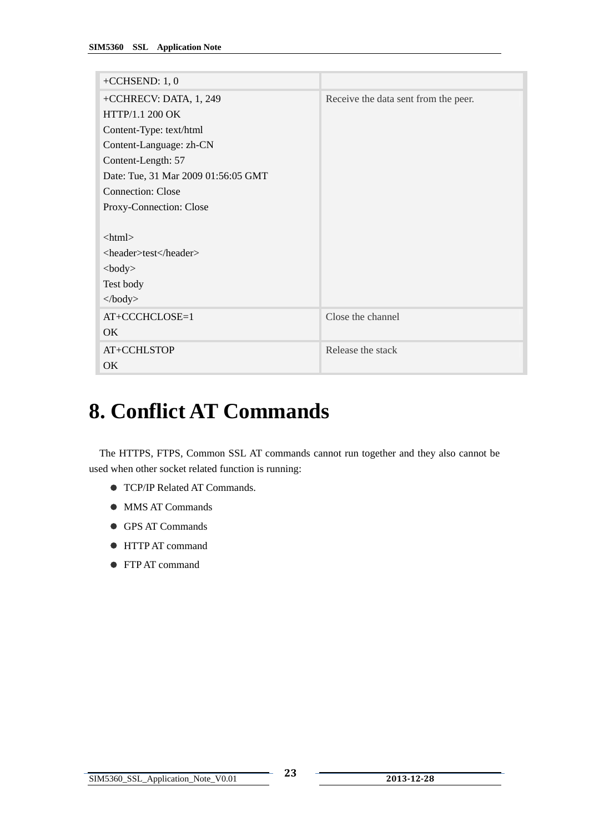<span id="page-25-0"></span>

| +CCHSEND: $1, 0$                    |                                      |
|-------------------------------------|--------------------------------------|
| +CCHRECV: DATA, 1, 249              | Receive the data sent from the peer. |
| HTTP/1.1 200 OK                     |                                      |
| Content-Type: text/html             |                                      |
| Content-Language: zh-CN             |                                      |
| Content-Length: 57                  |                                      |
| Date: Tue, 31 Mar 2009 01:56:05 GMT |                                      |
| <b>Connection: Close</b>            |                                      |
| Proxy-Connection: Close             |                                      |
|                                     |                                      |
| <html></html>                       |                                      |
| <header>test</header>               |                                      |
| $<$ body $>$                        |                                      |
| Test body                           |                                      |
| $\langle \text{body} \rangle$       |                                      |
| AT+CCCHCLOSE=1                      | Close the channel                    |
| $\alpha$                            |                                      |
| AT+CCHLSTOP                         | Release the stack                    |
| OK                                  |                                      |

# **8. Conflict AT Commands**

The HTTPS, FTPS, Common SSL AT commands cannot run together and they also cannot be used when other socket related function is running:

- **TCP/IP Related AT Commands.**
- MMS AT Commands
- GPS AT Commands
- $\bullet$  HTTP AT command
- FTP AT command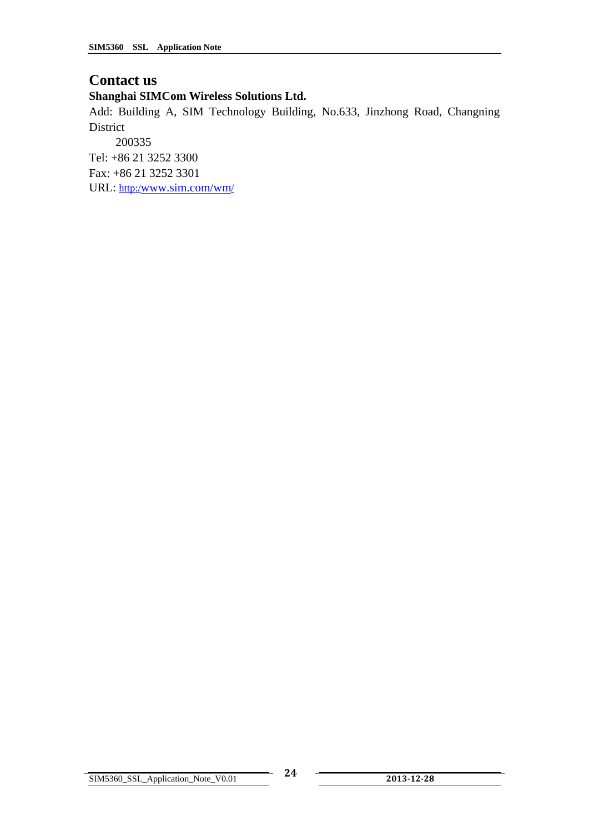#### **Contact us**

#### **Shanghai SIMCom Wireless Solutions Ltd.**

Add: Building A, SIM Technology Building, No.633, Jinzhong Road, Changning District

 200335 Tel: +86 21 3252 3300 Fax: +86 21 3252 3301

URL: http:[/www.sim.com/wm/](http://www.sim.com/wm)